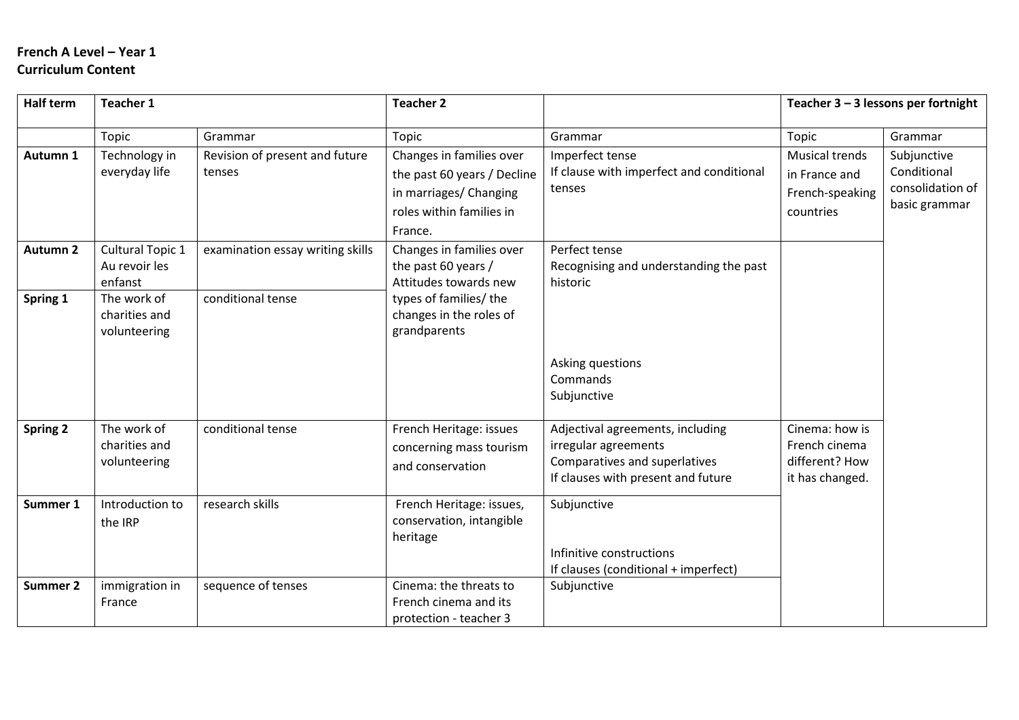# **French A Level – Year 1 Curriculum Content**

| <b>Half term</b> | <b>Teacher 1</b>                             |                                          | <b>Teacher 2</b>                                                                                                         |                                                                                                                                 | Teacher $3 - 3$ lessons per fortnight                                  |                                                                 |
|------------------|----------------------------------------------|------------------------------------------|--------------------------------------------------------------------------------------------------------------------------|---------------------------------------------------------------------------------------------------------------------------------|------------------------------------------------------------------------|-----------------------------------------------------------------|
|                  | Topic                                        | Grammar                                  | Topic                                                                                                                    | Grammar                                                                                                                         | Topic                                                                  | Grammar                                                         |
| Autumn 1         | Technology in<br>everyday life               | Revision of present and future<br>tenses | Changes in families over<br>the past 60 years / Decline<br>in marriages/ Changing<br>roles within families in<br>France. | Imperfect tense<br>If clause with imperfect and conditional<br>tenses                                                           | <b>Musical trends</b><br>in France and<br>French-speaking<br>countries | Subjunctive<br>Conditional<br>consolidation of<br>basic grammar |
| <b>Autumn 2</b>  | Cultural Topic 1<br>Au revoir les<br>enfanst | examination essay writing skills         | Changes in families over<br>the past 60 years /<br>Attitudes towards new                                                 | Perfect tense<br>Recognising and understanding the past<br>historic                                                             |                                                                        |                                                                 |
| Spring 1         | The work of<br>charities and<br>volunteering | conditional tense                        | types of families/ the<br>changes in the roles of<br>grandparents                                                        | Asking questions<br>Commands<br>Subjunctive                                                                                     |                                                                        |                                                                 |
| Spring 2         | The work of<br>charities and<br>volunteering | conditional tense                        | French Heritage: issues<br>concerning mass tourism<br>and conservation                                                   | Adjectival agreements, including<br>irregular agreements<br>Comparatives and superlatives<br>If clauses with present and future | Cinema: how is<br>French cinema<br>different? How<br>it has changed.   |                                                                 |
| Summer 1         | Introduction to<br>the IRP                   | research skills                          | French Heritage: issues,<br>conservation, intangible<br>heritage                                                         | Subjunctive<br>Infinitive constructions<br>If clauses (conditional + imperfect)                                                 |                                                                        |                                                                 |
| <b>Summer 2</b>  | immigration in<br>France                     | sequence of tenses                       | Cinema: the threats to<br>French cinema and its<br>protection - teacher 3                                                | Subjunctive                                                                                                                     |                                                                        |                                                                 |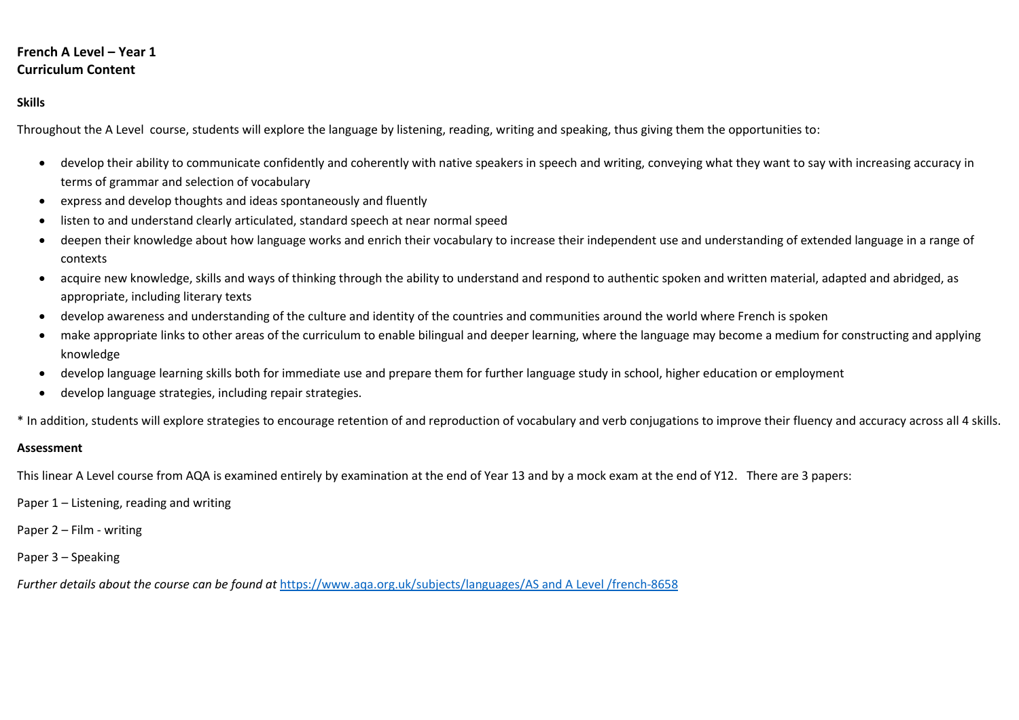## **French A Level – Year 1 Curriculum Content**

### **Skills**

Throughout the A Level course, students will explore the language by listening, reading, writing and speaking, thus giving them the opportunities to:

- develop their ability to communicate confidently and coherently with native speakers in speech and writing, conveying what they want to say with increasing accuracy in terms of grammar and selection of vocabulary
- express and develop thoughts and ideas spontaneously and fluently
- listen to and understand clearly articulated, standard speech at near normal speed
- deepen their knowledge about how language works and enrich their vocabulary to increase their independent use and understanding of extended language in a range of contexts
- acquire new knowledge, skills and ways of thinking through the ability to understand and respond to authentic spoken and written material, adapted and abridged, as appropriate, including literary texts
- develop awareness and understanding of the culture and identity of the countries and communities around the world where French is spoken
- make appropriate links to other areas of the curriculum to enable bilingual and deeper learning, where the language may become a medium for constructing and applying knowledge
- develop language learning skills both for immediate use and prepare them for further language study in school, higher education or employment
- develop language strategies, including repair strategies.

\* In addition, students will explore strategies to encourage retention of and reproduction of vocabulary and verb conjugations to improve their fluency and accuracy across all 4 skills.

#### **Assessment**

This linear A Level course from AQA is examined entirely by examination at the end of Year 13 and by a mock exam at the end of Y12. There are 3 papers:

Paper 1 – Listening, reading and writing

Paper 2 – Film - writing

Paper 3 – Speaking

*Further details about the course can be found at* <https://www.aqa.org.uk/subjects/languages/AS> and A Level /french-8658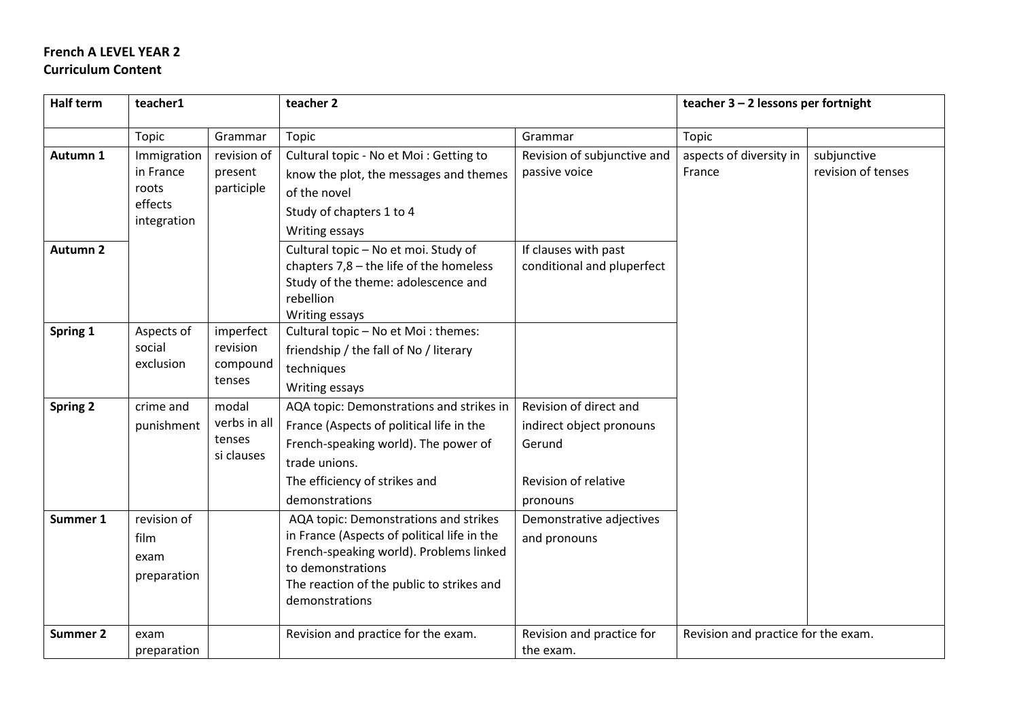# **French A LEVEL YEAR 2 Curriculum Content**

| <b>Half term</b>     | teacher1                                                                             |                                               | teacher 2                                                                                                                                                                                                                                                                                                                                                                                                               |                                                                                                                                              | teacher $3 - 2$ lessons per fortnight |                                   |
|----------------------|--------------------------------------------------------------------------------------|-----------------------------------------------|-------------------------------------------------------------------------------------------------------------------------------------------------------------------------------------------------------------------------------------------------------------------------------------------------------------------------------------------------------------------------------------------------------------------------|----------------------------------------------------------------------------------------------------------------------------------------------|---------------------------------------|-----------------------------------|
|                      | Topic                                                                                | Grammar                                       | Topic                                                                                                                                                                                                                                                                                                                                                                                                                   | Grammar                                                                                                                                      | Topic                                 |                                   |
| Autumn 1             | Immigration<br>in France<br>present<br>participle<br>roots<br>effects<br>integration | revision of                                   | Cultural topic - No et Moi : Getting to<br>know the plot, the messages and themes<br>of the novel<br>Study of chapters 1 to 4<br>Writing essays                                                                                                                                                                                                                                                                         | Revision of subjunctive and<br>passive voice                                                                                                 | aspects of diversity in<br>France     | subjunctive<br>revision of tenses |
| <b>Autumn 2</b>      |                                                                                      |                                               | Cultural topic - No et moi. Study of<br>chapters $7,8$ – the life of the homeless<br>Study of the theme: adolescence and<br>rebellion<br>Writing essays                                                                                                                                                                                                                                                                 | If clauses with past<br>conditional and pluperfect                                                                                           |                                       |                                   |
| Spring 1             | Aspects of<br>social<br>exclusion                                                    | imperfect<br>revision<br>compound<br>tenses   | Cultural topic - No et Moi : themes:<br>friendship / the fall of No / literary<br>techniques<br>Writing essays                                                                                                                                                                                                                                                                                                          |                                                                                                                                              |                                       |                                   |
| Spring 2<br>Summer 1 | crime and<br>punishment<br>revision of<br>film<br>exam<br>preparation                | modal<br>verbs in all<br>tenses<br>si clauses | AQA topic: Demonstrations and strikes in<br>France (Aspects of political life in the<br>French-speaking world). The power of<br>trade unions.<br>The efficiency of strikes and<br>demonstrations<br>AQA topic: Demonstrations and strikes<br>in France (Aspects of political life in the<br>French-speaking world). Problems linked<br>to demonstrations<br>The reaction of the public to strikes and<br>demonstrations | Revision of direct and<br>indirect object pronouns<br>Gerund<br>Revision of relative<br>pronouns<br>Demonstrative adjectives<br>and pronouns |                                       |                                   |
| Summer 2             | exam                                                                                 |                                               | Revision and practice for the exam.                                                                                                                                                                                                                                                                                                                                                                                     | Revision and practice for                                                                                                                    | Revision and practice for the exam.   |                                   |
|                      | preparation                                                                          |                                               |                                                                                                                                                                                                                                                                                                                                                                                                                         | the exam.                                                                                                                                    |                                       |                                   |